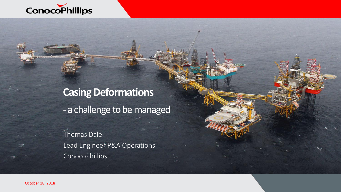

# **Casing Deformations** - a challenge to be managed

Thomas Dale Lead Engineer P&A Operations **ConocoPhillips** 

October 18. 2018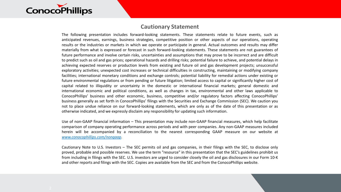

#### **Cautionary Statement**

The following presentation includes forward-looking statements. These statements relate to future events, such as anticipated revenues, earnings, business strategies, competitive position or other aspects of our operations, operating results or the industries or markets in which we operate or participate in general. Actual outcomes and results may differ materially from what is expressed or forecast in such forward-looking statements. These statements are not guarantees of future performance and involve certain risks, uncertainties and assumptions that may prove to be incorrect and are difficult to predict such as oil and gas prices; operational hazards and drilling risks; potential failure to achieve, and potential delays in achieving expected reserves or production levels from existing and future oil and gas development projects; unsuccessful exploratory activities; unexpected cost increases or technical difficulties in constructing, maintaining or modifying company facilities; international monetary conditions and exchange controls; potential liability for remedial actions under existing or future environmental regulations or from pending or future litigation; limited access to capital or significantly higher cost of capital related to illiquidity or uncertainty in the domestic or international financial markets; general domestic and international economic and political conditions, as well as changes in tax, environmental and other laws applicable to ConocoPhillips' business and other economic, business, competitive and/or regulatory factors affecting ConocoPhillips' business generally as set forth in ConocoPhillips' filings with the Securities and Exchange Commission (SEC). We caution you not to place undue reliance on our forward-looking statements, which are only as of the date of this presentation or as otherwise indicated, and we expressly disclaim any responsibility for updating such information.

Use of non-GAAP financial information – This presentation may include non-GAAP financial measures, which help facilitate comparison of company operating performance across periods and with peer companies. Any non-GAAP measures included herein will be accompanied by a reconciliation to the nearest corresponding GAAP measure on our website at *[www.conocophillips.com/nongaap](http://www.conocophillips.com/nongaap)*.

Cautionary Note to U.S. Investors – The SEC permits oil and gas companies, in their filings with the SEC, to disclose only proved, probable and possible reserves. We use the term "resource" in this presentation that the SEC's guidelines prohibit us from including in filings with the SEC. U.S. investors are urged to consider closely the oil and gas disclosures in our Form 10-K and other reports and filings with the SEC. Copies are available from the SEC and from the ConocoPhillips website.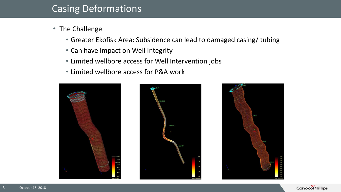### Casing Deformations

- The Challenge
	- Greater Ekofisk Area: Subsidence can lead to damaged casing/ tubing
	- Can have impact on Well Integrity
	- Limited wellbore access for Well Intervention jobs
	- Limited wellbore access for P&A work







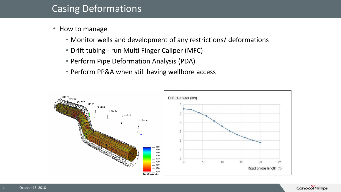### Casing Deformations

- How to manage
	- Monitor wells and development of any restrictions/ deformations
	- Drift tubing run Multi Finger Caliper (MFC)
	- Perform Pipe Deformation Analysis (PDA)
	- Perform PP&A when still having wellbore access